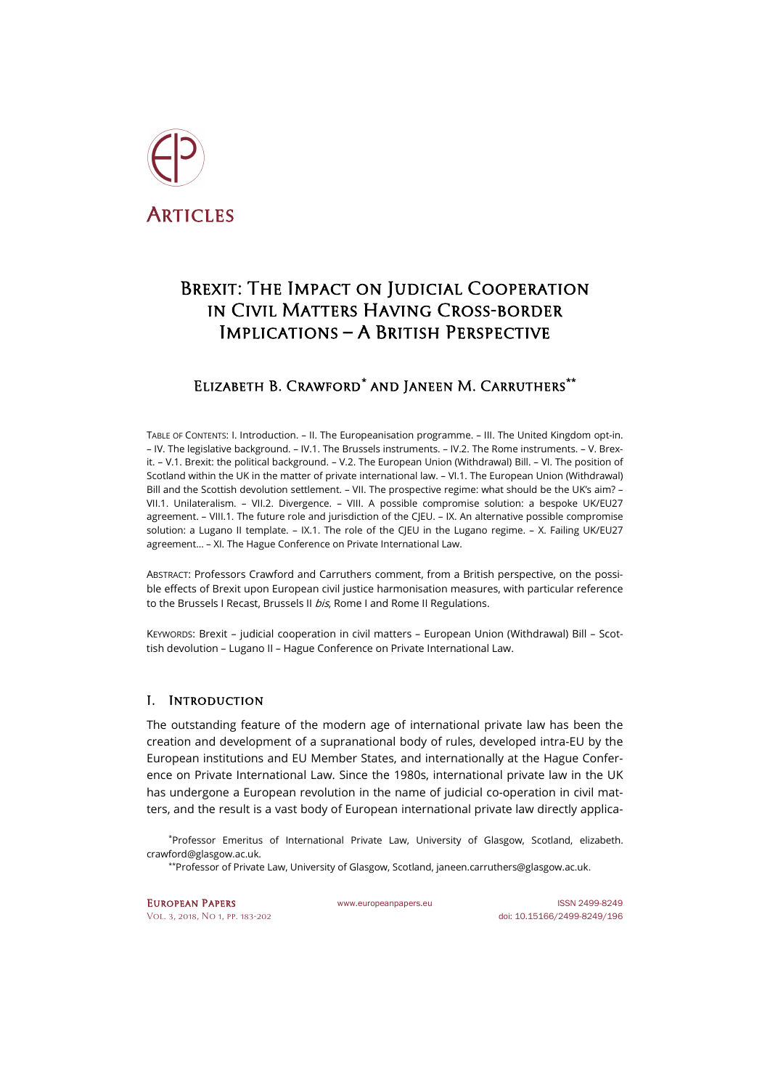

# BREXIT: THE IMPACT ON JUDICIAL COOPERATION in Civil Matters Having Cross-border Implications – A British Perspective

# Elizabeth B. Crawford**[\\*](#page-0-0)** and Janeen M. Carruthers**[\\*\\*](#page-0-1)**

TABLE OF CONTENTS: I. Introduction. – II. The Europeanisation programme. – III. The United Kingdom opt-in. – IV. The legislative background. – IV.1. The Brussels instruments. – IV.2. The Rome instruments. – V. Brexit. – V.1. Brexit: the political background. – V.2. The European Union (Withdrawal) Bill. – VI. The position of Scotland within the UK in the matter of private international law. – VI.1. The European Union (Withdrawal) Bill and the Scottish devolution settlement. – VII. The prospective regime: what should be the UK's aim? – VII.1. Unilateralism. – VII.2. Divergence. – VIII. A possible compromise solution: a bespoke UK/EU27 agreement. – VIII.1. The future role and jurisdiction of the CJEU. – IX. An alternative possible compromise solution: a Lugano II template. – IX.1. The role of the CIEU in the Lugano regime. – X. Failing UK/EU27 agreement… – XI. The Hague Conference on Private International Law.

ABSTRACT: Professors Crawford and Carruthers comment, from a British perspective, on the possible effects of Brexit upon European civil justice harmonisation measures, with particular reference to the Brussels I Recast, Brussels II bis, Rome I and Rome II Regulations.

KEYWORDS: Brexit – judicial cooperation in civil matters – European Union (Withdrawal) Bill – Scottish devolution – Lugano II – Hague Conference on Private International Law.

# I. Introduction

The outstanding feature of the modern age of international private law has been the creation and development of a supranational body of rules, developed intra-EU by the European institutions and EU Member States, and internationally at the Hague Conference on Private International Law. Since the 1980s, international private law in the UK has undergone a European revolution in the name of judicial co-operation in civil matters, and the result is a vast body of European international private law directly applica-

<span id="page-0-1"></span><span id="page-0-0"></span>\*Professor Emeritus of International Private Law, University of Glasgow, Scotland, [elizabeth.](mailto:elizabeth.crawford@glasgow.ac.uk) [crawford@glasgow.ac.uk.](mailto:elizabeth.crawford@glasgow.ac.uk)

\*\*Professor of Private Law, University of Glasgow, Scotland, [janeen.carruthers@glasgow.ac.uk.](mailto:janeen.carruthers@glasgow.ac.uk)

EUROPEAN PAPERS WWW.europeanpapers.eu ISSN 2499-8249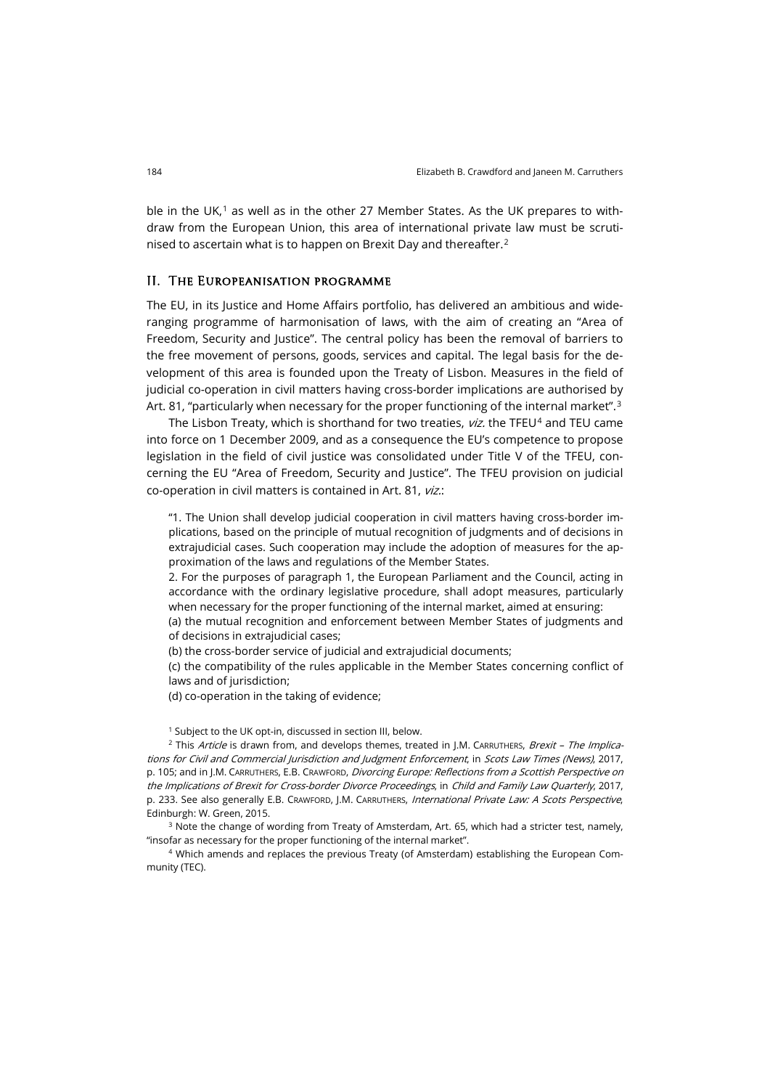ble in the UK, $1$  as well as in the other 27 Member States. As the UK prepares to withdraw from the European Union, this area of international private law must be scrutinised to ascertain what is to happen on Brexit Day and thereafter.[2](#page-1-1)

#### II. The Europeanisation programme

The EU, in its Justice and Home Affairs portfolio, has delivered an ambitious and wideranging programme of harmonisation of laws, with the aim of creating an "Area of Freedom, Security and Justice". The central policy has been the removal of barriers to the free movement of persons, goods, services and capital. The legal basis for the development of this area is founded upon the Treaty of Lisbon. Measures in the field of judicial co-operation in civil matters having cross-border implications are authorised by Art. 81, "particularly when necessary for the proper functioning of the internal market".<sup>[3](#page-1-2)</sup>

The Lisbon Treaty, which is shorthand for two treaties, viz. the TFEU<sup>[4](#page-1-3)</sup> and TEU came into force on 1 December 2009, and as a consequence the EU's competence to propose legislation in the field of civil justice was consolidated under Title V of the TFEU, concerning the EU "Area of Freedom, Security and Justice". The TFEU provision on judicial co-operation in civil matters is contained in Art. 81, viz.:

"1. The Union shall develop judicial cooperation in civil matters having cross-border implications, based on the principle of mutual recognition of judgments and of decisions in extrajudicial cases. Such cooperation may include the adoption of measures for the approximation of the laws and regulations of the Member States.

2. For the purposes of paragraph 1, the European Parliament and the Council, acting in accordance with the ordinary legislative procedure, shall adopt measures, particularly when necessary for the proper functioning of the internal market, aimed at ensuring:

(a) the mutual recognition and enforcement between Member States of judgments and of decisions in extrajudicial cases;

(b) the cross-border service of judicial and extrajudicial documents;

(c) the compatibility of the rules applicable in the Member States concerning conflict of laws and of jurisdiction;

(d) co-operation in the taking of evidence;

<sup>1</sup> Subject to the UK opt-in, discussed in section III, below.

<span id="page-1-1"></span><span id="page-1-0"></span> $2$  This Article is drawn from, and develops themes, treated in J.M. CARRUTHERS, Brexit - The Implications for Civil and Commercial Jurisdiction and Judgment Enforcement, in Scots Law Times (News), 2017, p. 105; and in J.M. CARRUTHERS, E.B. CRAWFORD, Divorcing Europe: Reflections from a Scottish Perspective on the Implications of Brexit for Cross-border Divorce Proceedings, in Child and Family Law Quarterly, 2017, p. 233. See also generally E.B. CRAWFORD, J.M. CARRUTHERS, International Private Law: A Scots Perspective, Edinburgh: W. Green, 2015.

<span id="page-1-2"></span><sup>3</sup> Note the change of wording from Treaty of Amsterdam, Art. 65, which had a stricter test, namely, "insofar as necessary for the proper functioning of the internal market".

<span id="page-1-3"></span><sup>4</sup> Which amends and replaces the previous Treaty (of Amsterdam) establishing the European Community (TEC).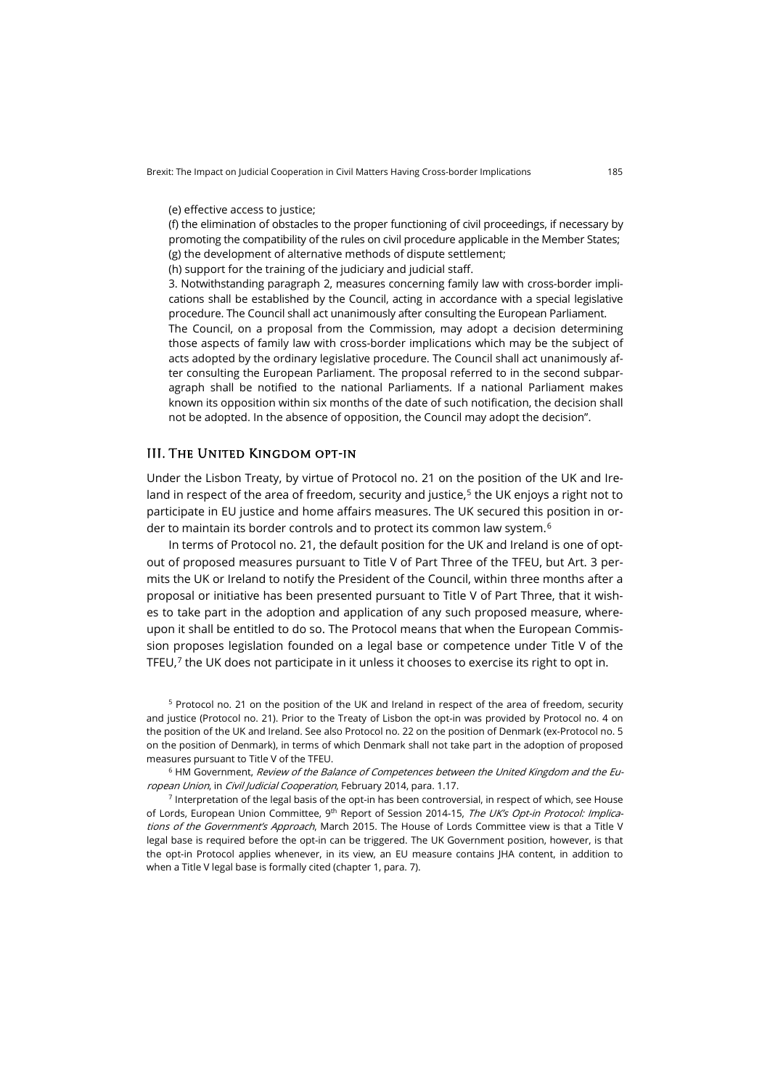(e) effective access to justice;

(f) the elimination of obstacles to the proper functioning of civil proceedings, if necessary by promoting the compatibility of the rules on civil procedure applicable in the Member States; (g) the development of alternative methods of dispute settlement;

(h) support for the training of the judiciary and judicial staff.

3. Notwithstanding paragraph 2, measures concerning family law with cross-border implications shall be established by the Council, acting in accordance with a special legislative procedure. The Council shall act unanimously after consulting the European Parliament. The Council, on a proposal from the Commission, may adopt a decision determining those aspects of family law with cross-border implications which may be the subject of acts adopted by the ordinary legislative procedure. The Council shall act unanimously after consulting the European Parliament. The proposal referred to in the second subparagraph shall be notified to the national Parliaments. If a national Parliament makes known its opposition within six months of the date of such notification, the decision shall not be adopted. In the absence of opposition, the Council may adopt the decision".

## III. The United Kingdom opt-in

Under the Lisbon Treaty, by virtue of Protocol no. 21 on the position of the UK and Ireland in respect of the area of freedom, security and justice, $5$  the UK enjoys a right not to participate in EU justice and home affairs measures. The UK secured this position in or-der to maintain its border controls and to protect its common law system.<sup>[6](#page-2-1)</sup>

In terms of Protocol no. 21, the default position for the UK and Ireland is one of optout of proposed measures pursuant to Title V of Part Three of the TFEU, but Art. 3 permits the UK or Ireland to notify the President of the Council, within three months after a proposal or initiative has been presented pursuant to Title V of Part Three, that it wishes to take part in the adoption and application of any such proposed measure, whereupon it shall be entitled to do so. The Protocol means that when the European Commission proposes legislation founded on a legal base or competence under Title V of the TFEU, $7$  the UK does not participate in it unless it chooses to exercise its right to opt in.

<span id="page-2-0"></span><sup>5</sup> Protocol no. 21 on the position of the UK and Ireland in respect of the area of freedom, security and justice (Protocol no. 21). Prior to the Treaty of Lisbon the opt-in was provided by Protocol no. 4 on the position of the UK and Ireland. See also Protocol no. 22 on the position of Denmark (ex-Protocol no. 5 on the position of Denmark), in terms of which Denmark shall not take part in the adoption of proposed measures pursuant to Title V of the TFEU.

<span id="page-2-1"></span><sup>6</sup> HM Government, Review of the Balance of Competences between the United Kingdom and the European Union, in Civil Judicial Cooperation, February 2014, para. 1.17.

<span id="page-2-2"></span> $7$  Interpretation of the legal basis of the opt-in has been controversial, in respect of which, see House of Lords, European Union Committee, 9<sup>th</sup> Report of Session 2014-15, The UK's Opt-in Protocol: Implications of the Government's Approach, March 2015. The House of Lords Committee view is that a Title V legal base is required before the opt-in can be triggered. The UK Government position, however, is that the opt-in Protocol applies whenever, in its view, an EU measure contains JHA content, in addition to when a Title V legal base is formally cited (chapter 1, para. 7).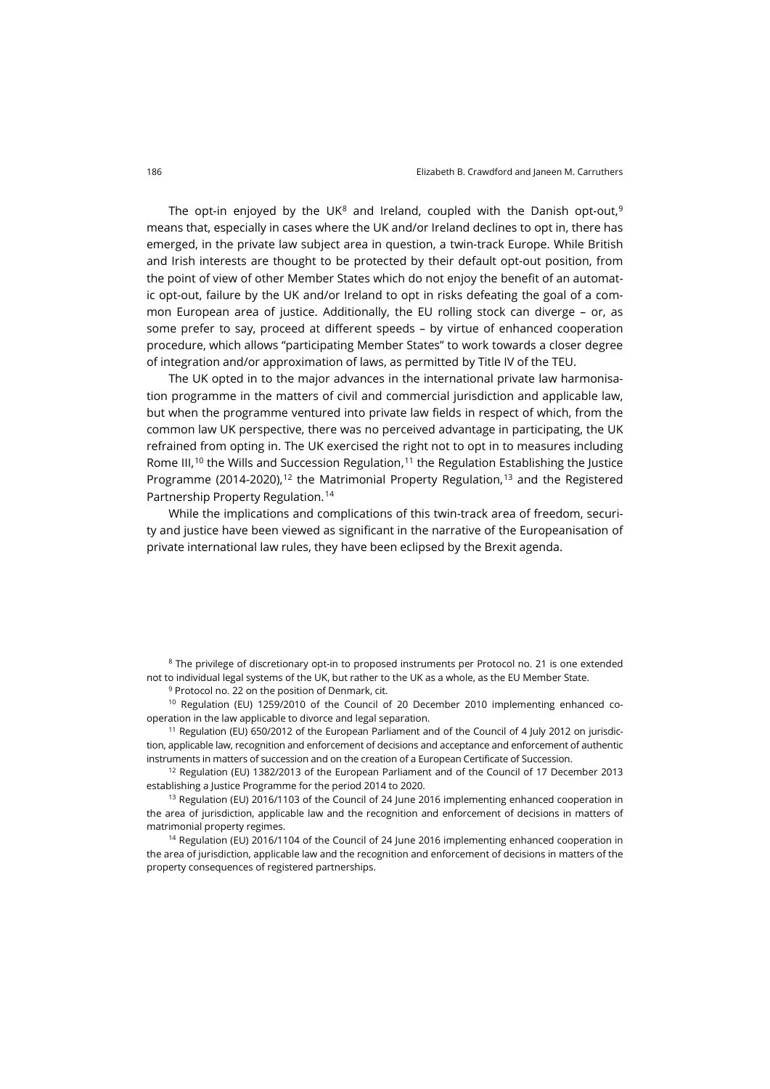The opt-in enjoyed by the UK<sup>[8](#page-3-0)</sup> and Ireland, coupled with the Danish opt-out,<sup>[9](#page-3-1)</sup> means that, especially in cases where the UK and/or Ireland declines to opt in, there has emerged, in the private law subject area in question, a twin-track Europe. While British and Irish interests are thought to be protected by their default opt-out position, from the point of view of other Member States which do not enjoy the benefit of an automatic opt-out, failure by the UK and/or Ireland to opt in risks defeating the goal of a common European area of justice. Additionally, the EU rolling stock can diverge – or, as some prefer to say, proceed at different speeds – by virtue of enhanced cooperation procedure, which allows "participating Member States" to work towards a closer degree of integration and/or approximation of laws, as permitted by Title IV of the TEU.

The UK opted in to the major advances in the international private law harmonisation programme in the matters of civil and commercial jurisdiction and applicable law, but when the programme ventured into private law fields in respect of which, from the common law UK perspective, there was no perceived advantage in participating, the UK refrained from opting in. The UK exercised the right not to opt in to measures including Rome III,<sup>[10](#page-3-2)</sup> the Wills and Succession Regulation,<sup>[11](#page-3-3)</sup> the Regulation Establishing the Justice Programme (2014-2020),<sup>[12](#page-3-4)</sup> the Matrimonial Property Regulation,<sup>[13](#page-3-5)</sup> and the Registered Partnership Property Regulation.[14](#page-3-6)

While the implications and complications of this twin-track area of freedom, security and justice have been viewed as significant in the narrative of the Europeanisation of private international law rules, they have been eclipsed by the Brexit agenda.

<span id="page-3-0"></span><sup>8</sup> The privilege of discretionary opt-in to proposed instruments per Protocol no. 21 is one extended not to individual legal systems of the UK, but rather to the UK as a whole, as the EU Member State.

<sup>9</sup> Protocol no. 22 on the position of Denmark, cit.

<span id="page-3-2"></span><span id="page-3-1"></span><sup>10</sup> Regulation (EU) 1259/2010 of the Council of 20 December 2010 implementing enhanced cooperation in the law applicable to divorce and legal separation.

<span id="page-3-3"></span><sup>11</sup> Regulation (EU) 650/2012 of the European Parliament and of the Council of 4 July 2012 on jurisdiction, applicable law, recognition and enforcement of decisions and acceptance and enforcement of authentic instruments in matters of succession and on the creation of a European Certificate of Succession.

<span id="page-3-4"></span> $12$  Regulation (EU) 1382/2013 of the European Parliament and of the Council of 17 December 2013 establishing a Justice Programme for the period 2014 to 2020.

<span id="page-3-5"></span> $13$  Regulation (EU) 2016/1103 of the Council of 24 June 2016 implementing enhanced cooperation in the area of jurisdiction, applicable law and the recognition and enforcement of decisions in matters of matrimonial property regimes.

<span id="page-3-6"></span><sup>14</sup> Regulation (EU) 2016/1104 of the Council of 24 June 2016 implementing enhanced cooperation in the area of jurisdiction, applicable law and the recognition and enforcement of decisions in matters of the property consequences of registered partnerships.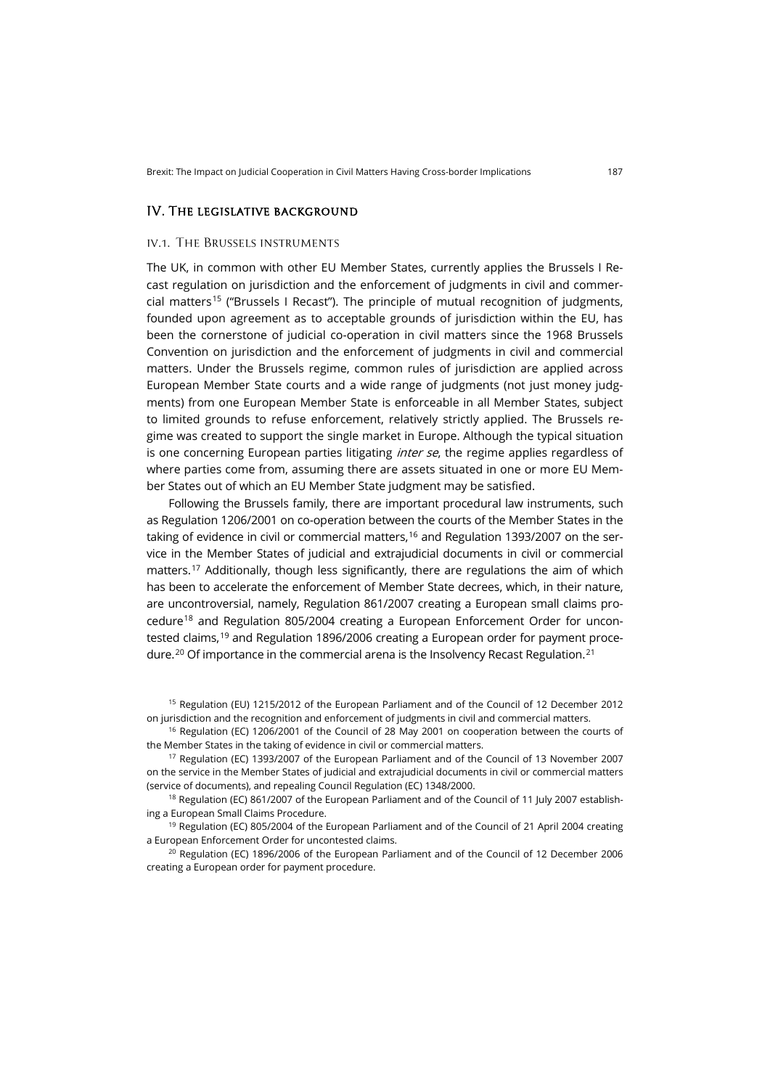## IV. The legislative background

#### iv.1. The Brussels instruments

The UK, in common with other EU Member States, currently applies the Brussels I Recast regulation on jurisdiction and the enforcement of judgments in civil and commercial matters[15](#page-4-0) ("Brussels I Recast"). The principle of mutual recognition of judgments, founded upon agreement as to acceptable grounds of jurisdiction within the EU, has been the cornerstone of judicial co-operation in civil matters since the 1968 Brussels Convention on jurisdiction and the enforcement of judgments in civil and commercial matters. Under the Brussels regime, common rules of jurisdiction are applied across European Member State courts and a wide range of judgments (not just money judgments) from one European Member State is enforceable in all Member States, subject to limited grounds to refuse enforcement, relatively strictly applied. The Brussels regime was created to support the single market in Europe. Although the typical situation is one concerning European parties litigating *inter se*, the regime applies regardless of where parties come from, assuming there are assets situated in one or more EU Member States out of which an EU Member State judgment may be satisfied.

<span id="page-4-6"></span>Following the Brussels family, there are important procedural law instruments, such as Regulation 1206/2001 on co-operation between the courts of the Member States in the taking of evidence in civil or commercial matters,<sup>[16](#page-4-1)</sup> and Regulation 1393/2007 on the service in the Member States of judicial and extrajudicial documents in civil or commercial matters.[17](#page-4-2) Additionally, though less significantly, there are regulations the aim of which has been to accelerate the enforcement of Member State decrees, which, in their nature, are uncontroversial, namely, Regulation 861/2007 creating a European small claims pro-cedure<sup>[18](#page-4-3)</sup> and Regulation 805/2004 creating a European Enforcement Order for uncon-tested claims,<sup>[19](#page-4-4)</sup> and Regulation 1896/2006 creating a European order for payment proce-dure.<sup>[20](#page-4-5)</sup> Of importance in the commercial arena is the Insolvency Recast Regulation.<sup>[21](#page-4-6)</sup>

<span id="page-4-0"></span><sup>15</sup> Regulation (EU) 1215/2012 of the European Parliament and of the Council of 12 December 2012 on jurisdiction and the recognition and enforcement of judgments in civil and commercial matters.

<span id="page-4-1"></span><sup>16</sup> Regulation (EC) 1206/2001 of the Council of 28 May 2001 on cooperation between the courts of the Member States in the taking of evidence in civil or commercial matters.

<span id="page-4-2"></span><sup>17</sup> Regulation (EC) 1393/2007 of the European Parliament and of the Council of 13 November 2007 on the service in the Member States of judicial and extrajudicial documents in civil or commercial matters (service of documents), and repealing Council Regulation (EC) 1348/2000.

<span id="page-4-3"></span><sup>18</sup> Regulation (EC) 861/2007 of the European Parliament and of the Council of 11 July 2007 establishing a European Small Claims Procedure.

<span id="page-4-4"></span><sup>19</sup> Regulation (EC) 805/2004 of the European Parliament and of the Council of 21 April 2004 creating a European Enforcement Order for uncontested claims.

<span id="page-4-5"></span><sup>20</sup> Regulation (EC) 1896/2006 of the European Parliament and of the Council of 12 December 2006 creating a European order for payment procedure.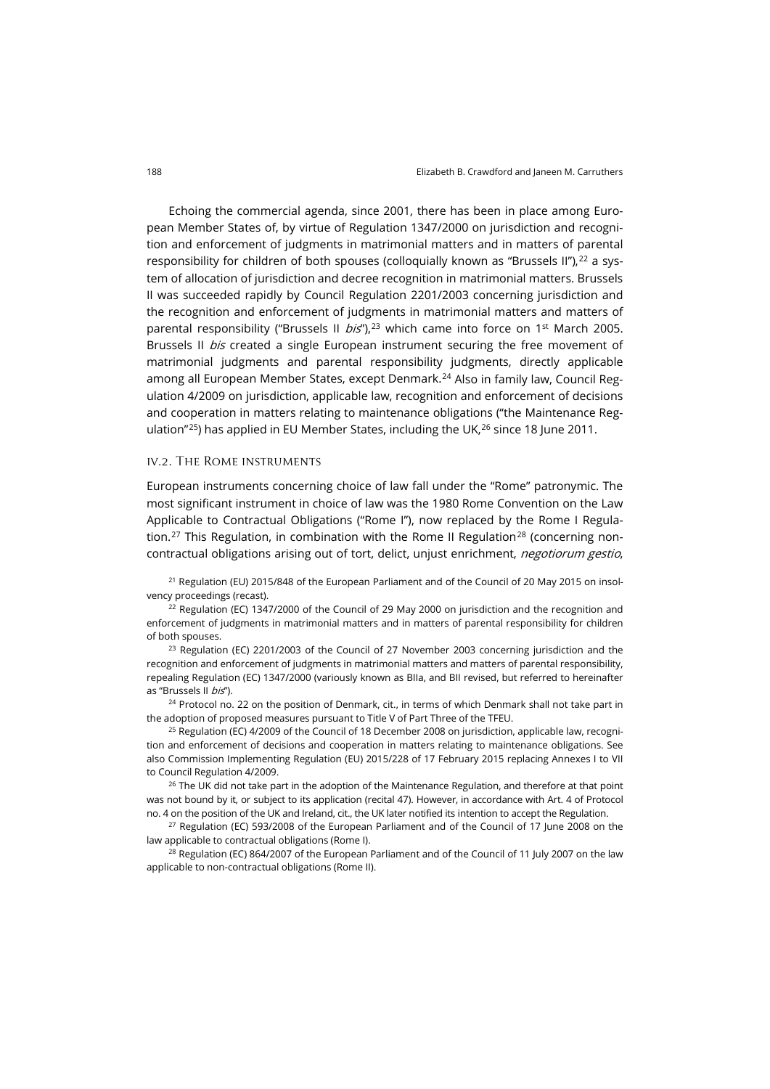Echoing the commercial agenda, since 2001, there has been in place among European Member States of, by virtue of Regulation 1347/2000 on jurisdiction and recognition and enforcement of judgments in matrimonial matters and in matters of parental responsibility for children of both spouses (colloquially known as "Brussels II"), $^{22}$  $^{22}$  $^{22}$  a system of allocation of jurisdiction and decree recognition in matrimonial matters. Brussels II was succeeded rapidly by Council Regulation 2201/2003 concerning jurisdiction and the recognition and enforcement of judgments in matrimonial matters and matters of parental responsibility ("Brussels II  $bis$ "),<sup>[23](#page-5-1)</sup> which came into force on 1<sup>st</sup> March 2005. Brussels II *bis* created a single European instrument securing the free movement of matrimonial judgments and parental responsibility judgments, directly applicable among all European Member States, except Denmark.[24](#page-5-2) Also in family law, Council Regulation 4/2009 on jurisdiction, applicable law, recognition and enforcement of decisions and cooperation in matters relating to maintenance obligations ("the Maintenance Reg-ulation"<sup>25</sup>) has applied in EU Member States, including the UK,<sup>[26](#page-5-4)</sup> since 18 June 2011.

#### iv.2. The Rome instruments

European instruments concerning choice of law fall under the "Rome" patronymic. The most significant instrument in choice of law was the 1980 Rome Convention on the Law Applicable to Contractual Obligations ("Rome I"), now replaced by the Rome I Regula-tion.<sup>[27](#page-5-5)</sup> This Regulation, in combination with the Rome II Regulation<sup>[28](#page-5-6)</sup> (concerning noncontractual obligations arising out of tort, delict, unjust enrichment, negotiorum gestio,

<sup>21</sup> Regulation (EU) 2015/848 of the European Parliament and of the Council of 20 May 2015 on insolvency proceedings (recast).

<span id="page-5-0"></span> $22$  Regulation (EC) 1347/2000 of the Council of 29 May 2000 on jurisdiction and the recognition and enforcement of judgments in matrimonial matters and in matters of parental responsibility for children of both spouses.

<span id="page-5-1"></span> $^{23}$  Regulation (EC) 2201/2003 of the Council of 27 November 2003 concerning jurisdiction and the recognition and enforcement of judgments in matrimonial matters and matters of parental responsibility, repealing Regulation (EC) 1347/2000 (variously known as BIIa, and BII revised, but referred to hereinafter as "Brussels II bis").

<span id="page-5-2"></span><sup>24</sup> Protocol no. 22 on the position of Denmark, cit., in terms of which Denmark shall not take part in the adoption of proposed measures pursuant to Title V of Part Three of the TFEU.

<span id="page-5-3"></span><sup>25</sup> Regulation (EC) 4/2009 of the Council of 18 December 2008 on jurisdiction, applicable law, recognition and enforcement of decisions and cooperation in matters relating to maintenance obligations. See also Commission Implementing Regulation (EU) 2015/228 of 17 February 2015 replacing Annexes I to VII to Council Regulation 4/2009.

<span id="page-5-4"></span> $26$  The UK did not take part in the adoption of the Maintenance Regulation, and therefore at that point was not bound by it, or subject to its application (recital 47). However, in accordance with Art. 4 of Protocol no. 4 on the position of the UK and Ireland, cit., the UK later notified its intention to accept the Regulation.

<span id="page-5-5"></span> $27$  Regulation (EC) 593/2008 of the European Parliament and of the Council of 17 June 2008 on the law applicable to contractual obligations (Rome I).

<span id="page-5-6"></span> $28$  Regulation (EC) 864/2007 of the European Parliament and of the Council of 11 July 2007 on the law applicable to non-contractual obligations (Rome II).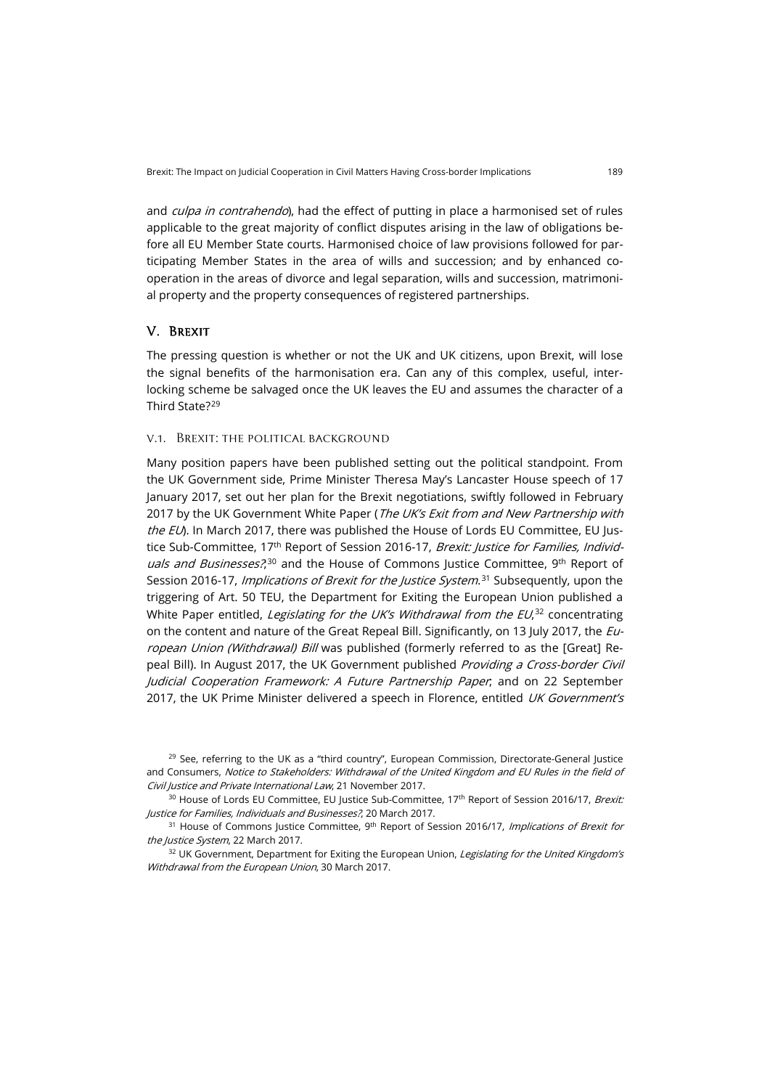and *culpa in contrahendo*), had the effect of putting in place a harmonised set of rules applicable to the great majority of conflict disputes arising in the law of obligations before all EU Member State courts. Harmonised choice of law provisions followed for participating Member States in the area of wills and succession; and by enhanced cooperation in the areas of divorce and legal separation, wills and succession, matrimonial property and the property consequences of registered partnerships.

# V. Brexit

The pressing question is whether or not the UK and UK citizens, upon Brexit, will lose the signal benefits of the harmonisation era. Can any of this complex, useful, interlocking scheme be salvaged once the UK leaves the EU and assumes the character of a Third State?[29](#page-6-0)

## v.1. Brexit: the political background

Many position papers have been published setting out the political standpoint. From the UK Government side, Prime Minister Theresa May's Lancaster House speech of 17 January 2017, set out her plan for the Brexit negotiations, swiftly followed in February 2017 by the UK Government White Paper (The UK's Exit from and New Partnership with the EU). In March 2017, there was published the House of Lords EU Committee, EU Justice Sub-Committee, 17<sup>th</sup> Report of Session 2016-17, *Brexit: Justice for Families, Individuals and Businesses?*,<sup>[30](#page-6-1)</sup> and the House of Commons Justice Committee, 9<sup>th</sup> Report of Session 2016-17, *Implications of Brexit for the Justice System*.<sup>[31](#page-6-2)</sup> Subsequently, upon the triggering of Art. 50 TEU, the Department for Exiting the European Union published a White Paper entitled, *Legislating for the UK's Withdrawal from the EU*,<sup>[32](#page-6-3)</sup> concentrating on the content and nature of the Great Repeal Bill. Significantly, on 13 July 2017, the European Union (Withdrawal) Bill was published (formerly referred to as the [Great] Repeal Bill). In August 2017, the UK Government published Providing a Cross-border Civil Judicial Cooperation Framework: A Future Partnership Paper; and on 22 September 2017, the UK Prime Minister delivered a speech in Florence, entitled UK Government's

<span id="page-6-0"></span> $29$  See, referring to the UK as a "third country", European Commission, Directorate-General Justice and Consumers, Notice to Stakeholders: Withdrawal of the United Kingdom and EU Rules in the field of Civil Justice and Private International Law, 21 November 2017.

<span id="page-6-1"></span><sup>30</sup> House of Lords EU Committee, EU Justice Sub-Committee, 17<sup>th</sup> Report of Session 2016/17, Brexit: Justice for Families, Individuals and Businesses?, 20 March 2017.

<span id="page-6-2"></span><sup>31</sup> House of Commons Justice Committee, 9<sup>th</sup> Report of Session 2016/17, *Implications of Brexit for* the Justice System, 22 March 2017.

<span id="page-6-3"></span><sup>32</sup> UK Government, Department for Exiting the European Union, Legislating for the United Kingdom's Withdrawal from the European Union, 30 March 2017.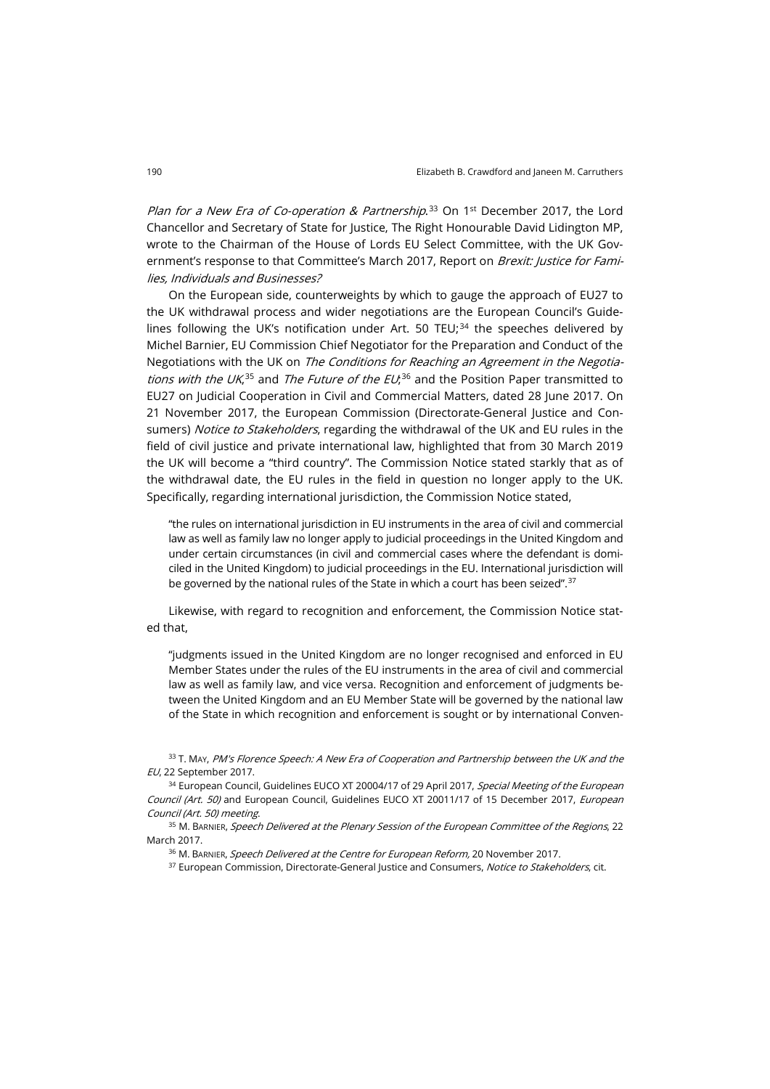*Plan for a New Era of Co-operation & Partnership*.<sup>[33](#page-7-0)</sup> On 1<sup>st</sup> December 2017, the Lord Chancellor and Secretary of State for Justice, The Right Honourable David Lidington MP, wrote to the Chairman of the House of Lords EU Select Committee, with the UK Government's response to that Committee's March 2017, Report on Brexit: Justice for Families, Individuals and Businesses?

On the European side, counterweights by which to gauge the approach of EU27 to the UK withdrawal process and wider negotiations are the European Council's Guidelines following the UK's notification under Art. 50 TEU; $^{34}$  $^{34}$  $^{34}$  the speeches delivered by Michel Barnier, EU Commission Chief Negotiator for the Preparation and Conduct of the Negotiations with the UK on The Conditions for Reaching an Agreement in the Negotia*tions with the UK*,<sup>[35](#page-7-2)</sup> and *The Future of the EU*,<sup>[36](#page-7-3)</sup> and the Position Paper transmitted to EU27 on Judicial Cooperation in Civil and Commercial Matters, dated 28 June 2017. On 21 November 2017, the European Commission (Directorate-General Justice and Consumers) Notice to Stakeholders, regarding the withdrawal of the UK and EU rules in the field of civil justice and private international law, highlighted that from 30 March 2019 the UK will become a "third country". The Commission Notice stated starkly that as of the withdrawal date, the EU rules in the field in question no longer apply to the UK. Specifically, regarding international jurisdiction, the Commission Notice stated,

"the rules on international jurisdiction in EU instruments in the area of civil and commercial law as well as family law no longer apply to judicial proceedings in the United Kingdom and under certain circumstances (in civil and commercial cases where the defendant is domiciled in the United Kingdom) to judicial proceedings in the EU. International jurisdiction will be governed by the national rules of the State in which a court has been seized".<sup>[37](#page-7-4)</sup>

Likewise, with regard to recognition and enforcement, the Commission Notice stated that,

"judgments issued in the United Kingdom are no longer recognised and enforced in EU Member States under the rules of the EU instruments in the area of civil and commercial law as well as family law, and vice versa. Recognition and enforcement of judgments between the United Kingdom and an EU Member State will be governed by the national law of the State in which recognition and enforcement is sought or by international Conven-

<span id="page-7-0"></span>33 T. May, PM's Florence Speech: A New Era of Cooperation and Partnership between the UK and the EU, 22 September 2017.

<span id="page-7-1"></span><sup>34</sup> European Council, Guidelines EUCO XT 20004/17 of 29 April 2017, Special Meeting of the European Council (Art. 50) and European Council, Guidelines EUCO XT 20011/17 of 15 December 2017, *European* Council (Art. 50) meeting.

<span id="page-7-4"></span><span id="page-7-3"></span><span id="page-7-2"></span>35 M. BARNIER, Speech Delivered at the Plenary Session of the European Committee of the Regions, 22 March 2017.

<sup>36</sup> M. BARNIER, Speech Delivered at the Centre for European Reform, 20 November 2017.

<sup>37</sup> European Commission, Directorate-General Justice and Consumers, Notice to Stakeholders, cit.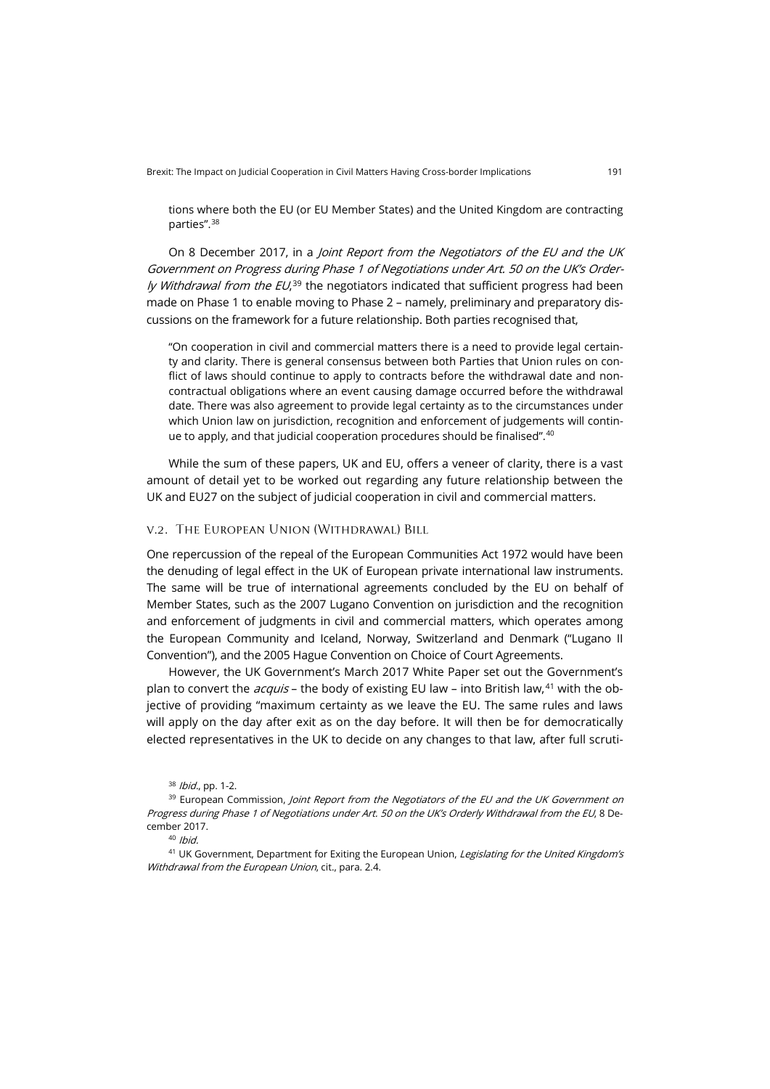tions where both the EU (or EU Member States) and the United Kingdom are contracting parties".[38](#page-8-0)

On 8 December 2017, in a *Joint Report from the Negotiators of the EU and the UK* Government on Progress during Phase 1 of Negotiations under Art. 50 on the UK's Order*ly Withdrawal from the EU*,<sup>[39](#page-8-1)</sup> the negotiators indicated that sufficient progress had been made on Phase 1 to enable moving to Phase 2 – namely, preliminary and preparatory discussions on the framework for a future relationship. Both parties recognised that,

"On cooperation in civil and commercial matters there is a need to provide legal certainty and clarity. There is general consensus between both Parties that Union rules on conflict of laws should continue to apply to contracts before the withdrawal date and noncontractual obligations where an event causing damage occurred before the withdrawal date. There was also agreement to provide legal certainty as to the circumstances under which Union law on jurisdiction, recognition and enforcement of judgements will contin-ue to apply, and that judicial cooperation procedures should be finalised".<sup>[40](#page-8-2)</sup>

While the sum of these papers, UK and EU, offers a veneer of clarity, there is a vast amount of detail yet to be worked out regarding any future relationship between the UK and EU27 on the subject of judicial cooperation in civil and commercial matters.

#### v.2. The European Union (Withdrawal) Bill

One repercussion of the repeal of the European Communities Act 1972 would have been the denuding of legal effect in the UK of European private international law instruments. The same will be true of international agreements concluded by the EU on behalf of Member States, such as the 2007 Lugano Convention on jurisdiction and the recognition and enforcement of judgments in civil and commercial matters, which operates among the European Community and Iceland, Norway, Switzerland and Denmark ("Lugano II Convention"), and the 2005 Hague Convention on Choice of Court Agreements.

However, the UK Government's March 2017 White Paper set out the Government's plan to convert the *acquis* – the body of existing EU law – into British law,<sup>[41](#page-8-3)</sup> with the objective of providing "maximum certainty as we leave the EU. The same rules and laws will apply on the day after exit as on the day before. It will then be for democratically elected representatives in the UK to decide on any changes to that law, after full scruti-

<sup>38</sup> Ibid., pp. 1-2.

<span id="page-8-1"></span><span id="page-8-0"></span><sup>&</sup>lt;sup>39</sup> European Commission, Joint Report from the Negotiators of the EU and the UK Government on Progress during Phase 1 of Negotiations under Art. 50 on the UK's Orderly Withdrawal from the EU, 8 December 2017.

 $40$  Ibid.

<span id="page-8-3"></span><span id="page-8-2"></span><sup>&</sup>lt;sup>41</sup> UK Government, Department for Exiting the European Union, Legislating for the United Kingdom's Withdrawal from the European Union, cit., para. 2.4.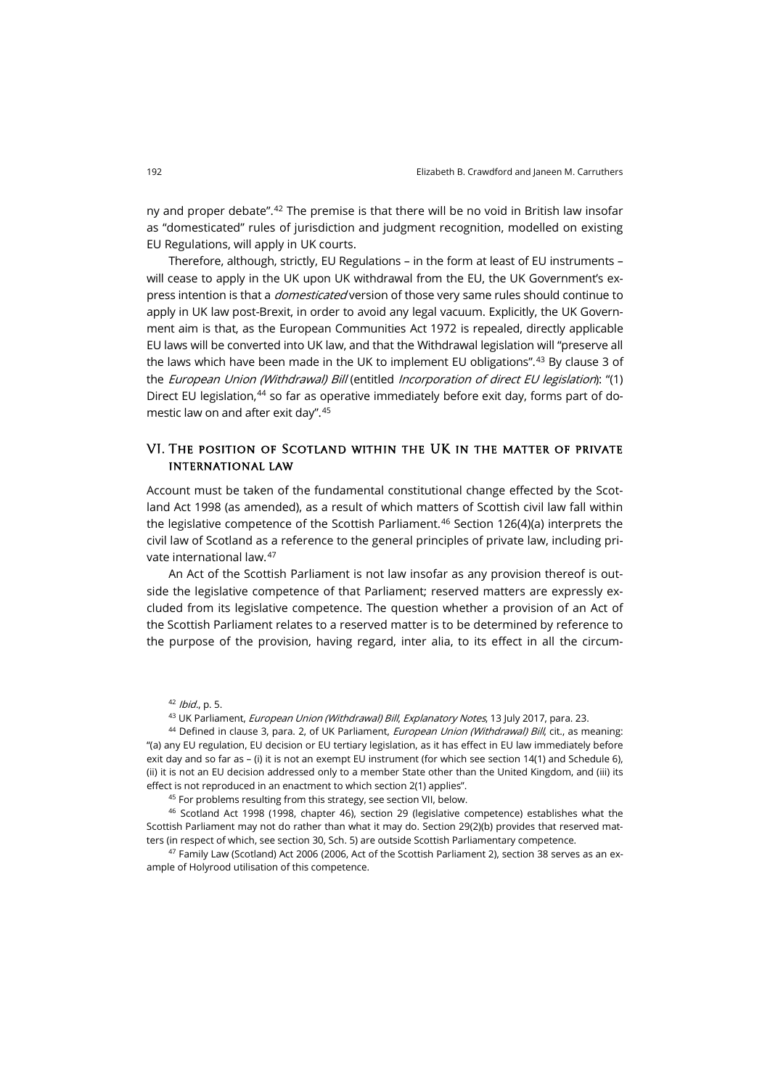ny and proper debate".[42](#page-9-0) The premise is that there will be no void in British law insofar as "domesticated" rules of jurisdiction and judgment recognition, modelled on existing EU Regulations, will apply in UK courts.

Therefore, although, strictly, EU Regulations – in the form at least of EU instruments – will cease to apply in the UK upon UK withdrawal from the EU, the UK Government's express intention is that a *domesticated* version of those very same rules should continue to apply in UK law post-Brexit, in order to avoid any legal vacuum. Explicitly, the UK Government aim is that, as the European Communities Act 1972 is repealed, directly applicable EU laws will be converted into UK law, and that the Withdrawal legislation will "preserve all the laws which have been made in the UK to implement EU obligations".<sup>[43](#page-9-1)</sup> By clause 3 of the European Union (Withdrawal) Bill (entitled Incorporation of direct EU legislation): "(1) Direct EU legislation,<sup>[44](#page-9-2)</sup> so far as operative immediately before exit day, forms part of domestic law on and after exit day".[45](#page-9-3)

## VI. The position of Scotland within the UK in the matter of private international law

Account must be taken of the fundamental constitutional change effected by the Scotland Act 1998 (as amended), as a result of which matters of Scottish civil law fall within the legislative competence of the Scottish Parliament.<sup>[46](#page-9-4)</sup> Section 126(4)(a) interprets the civil law of Scotland as a reference to the general principles of private law, including private international law.[47](#page-9-5)

An Act of the Scottish Parliament is not law insofar as any provision thereof is outside the legislative competence of that Parliament; reserved matters are expressly excluded from its legislative competence. The question whether a provision of an Act of the Scottish Parliament relates to a reserved matter is to be determined by reference to the purpose of the provision, having regard, inter alia, to its effect in all the circum-

 $42$  *Ibid.*, p. 5.

43 UK Parliament, European Union (Withdrawal) Bill, Explanatory Notes, 13 July 2017, para. 23.

<span id="page-9-2"></span><span id="page-9-1"></span><span id="page-9-0"></span>44 Defined in clause 3, para. 2, of UK Parliament, *European Union (Withdrawal) Bill*, cit., as meaning: "(a) any EU regulation, EU decision or EU tertiary legislation, as it has effect in EU law immediately before exit day and so far as – (i) it is not an exempt EU instrument (for which see section 14(1) and Schedule 6), (ii) it is not an EU decision addressed only to a member State other than the United Kingdom, and (iii) its effect is not reproduced in an enactment to which section 2(1) applies".

45 For problems resulting from this strategy, see section VII, below.

<span id="page-9-4"></span><span id="page-9-3"></span><sup>46</sup> Scotland Act 1998 (1998, chapter 46), section 29 (legislative competence) establishes what the Scottish Parliament may not do rather than what it may do. Section 29(2)(b) provides that reserved matters (in respect of which, see section 30, Sch. 5) are outside Scottish Parliamentary competence.

<span id="page-9-5"></span><sup>47</sup> Family Law (Scotland) Act 2006 (2006, Act of the Scottish Parliament 2), section 38 serves as an example of Holyrood utilisation of this competence.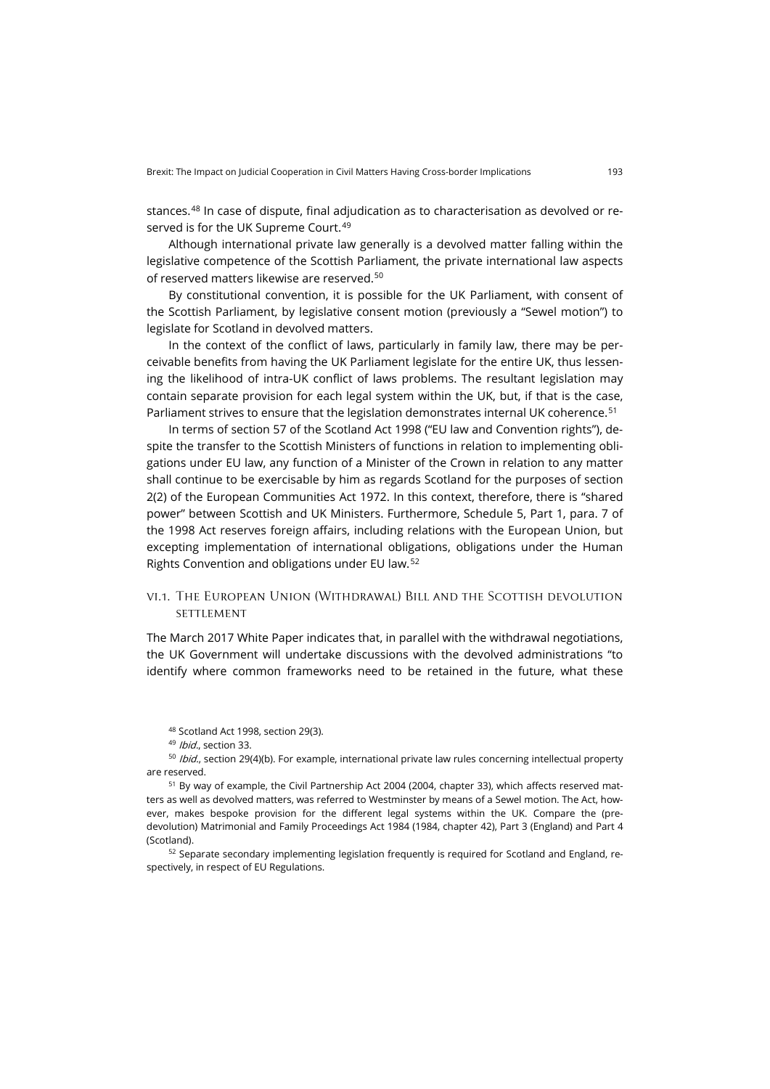stances.[48](#page-10-0) In case of dispute, final adjudication as to characterisation as devolved or re-served is for the UK Supreme Court.<sup>[49](#page-10-1)</sup>

Although international private law generally is a devolved matter falling within the legislative competence of the Scottish Parliament, the private international law aspects of reserved matters likewise are reserved.[50](#page-10-2)

By constitutional convention, it is possible for the UK Parliament, with consent of the Scottish Parliament, by legislative consent motion (previously a "Sewel motion") to legislate for Scotland in devolved matters.

In the context of the conflict of laws, particularly in family law, there may be perceivable benefits from having the UK Parliament legislate for the entire UK, thus lessening the likelihood of intra-UK conflict of laws problems. The resultant legislation may contain separate provision for each legal system within the UK, but, if that is the case, Parliament strives to ensure that the legislation demonstrates internal UK coherence.<sup>[51](#page-10-3)</sup>

In terms of section 57 of the Scotland Act 1998 ("EU law and Convention rights"), despite the transfer to the Scottish Ministers of functions in relation to implementing obligations under EU law, any function of a Minister of the Crown in relation to any matter shall continue to be exercisable by him as regards Scotland for the purposes of section 2(2) of the European Communities Act 1972. In this context, therefore, there is "shared power" between Scottish and UK Ministers. Furthermore, Schedule 5, Part 1, para. 7 of the 1998 Act reserves foreign affairs, including relations with the European Union, but excepting implementation of international obligations, obligations under the Human Rights Convention and obligations under EU law.[52](#page-10-4)

## vi.1. The European Union (Withdrawal) Bill and the Scottish devolution **SETTLEMENT**

The March 2017 White Paper indicates that, in parallel with the withdrawal negotiations, the UK Government will undertake discussions with the devolved administrations "to identify where common frameworks need to be retained in the future, what these

<sup>48</sup> Scotland Act 1998, section 29(3).

<sup>49</sup> Ibid., section 33.

<span id="page-10-2"></span><span id="page-10-1"></span><span id="page-10-0"></span>50 Ibid., section 29(4)(b). For example, international private law rules concerning intellectual property are reserved.

<span id="page-10-3"></span><sup>51</sup> By way of example, the Civil Partnership Act 2004 (2004, chapter 33), which affects reserved matters as well as devolved matters, was referred to Westminster by means of a Sewel motion. The Act, however, makes bespoke provision for the different legal systems within the UK. Compare the (predevolution) Matrimonial and Family Proceedings Act 1984 (1984, chapter 42), Part 3 (England) and Part 4 (Scotland).

<span id="page-10-4"></span><sup>52</sup> Separate secondary implementing legislation frequently is required for Scotland and England, respectively, in respect of EU Regulations.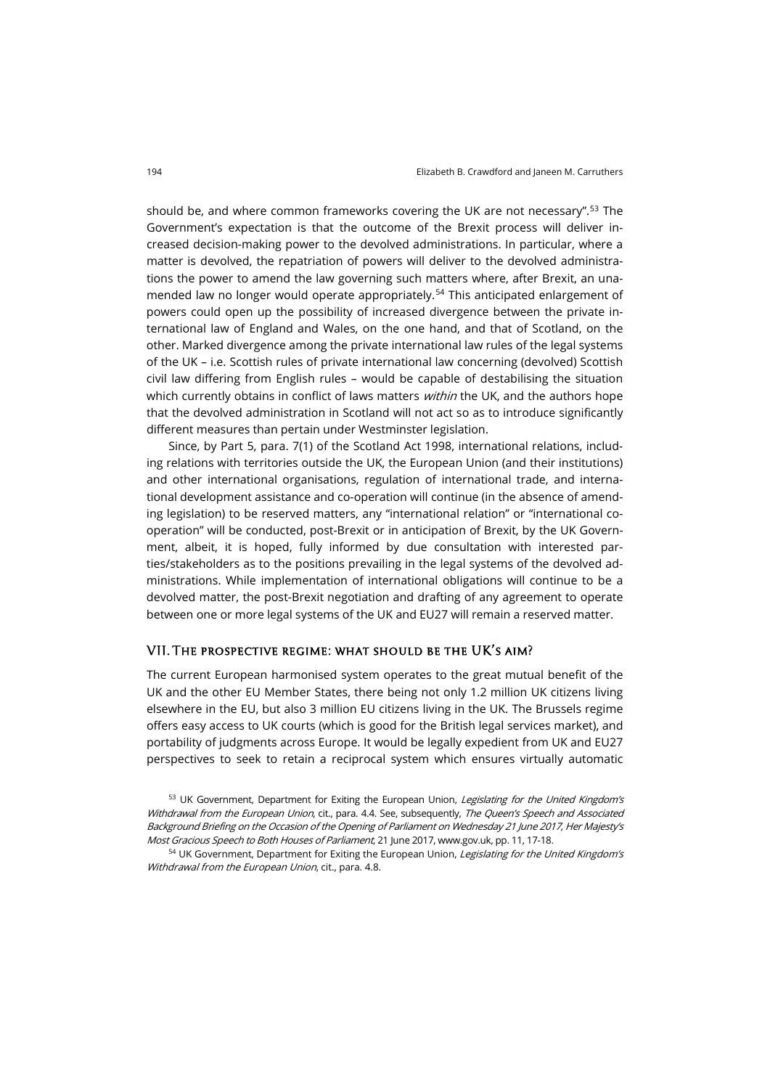should be, and where common frameworks covering the UK are not necessary".[53](#page-11-0) The Government's expectation is that the outcome of the Brexit process will deliver increased decision-making power to the devolved administrations. In particular, where a matter is devolved, the repatriation of powers will deliver to the devolved administrations the power to amend the law governing such matters where, after Brexit, an una-mended law no longer would operate appropriately.<sup>[54](#page-11-1)</sup> This anticipated enlargement of powers could open up the possibility of increased divergence between the private international law of England and Wales, on the one hand, and that of Scotland, on the other. Marked divergence among the private international law rules of the legal systems of the UK – i.e. Scottish rules of private international law concerning (devolved) Scottish civil law differing from English rules – would be capable of destabilising the situation which currently obtains in conflict of laws matters *within* the UK, and the authors hope that the devolved administration in Scotland will not act so as to introduce significantly different measures than pertain under Westminster legislation.

Since, by Part 5, para. 7(1) of the Scotland Act 1998, international relations, including relations with territories outside the UK, the European Union (and their institutions) and other international organisations, regulation of international trade, and international development assistance and co-operation will continue (in the absence of amending legislation) to be reserved matters, any "international relation" or "international cooperation" will be conducted, post-Brexit or in anticipation of Brexit, by the UK Government, albeit, it is hoped, fully informed by due consultation with interested parties/stakeholders as to the positions prevailing in the legal systems of the devolved administrations. While implementation of international obligations will continue to be a devolved matter, the post-Brexit negotiation and drafting of any agreement to operate between one or more legal systems of the UK and EU27 will remain a reserved matter.

## VII. The prospective regime: what should be the UK's aim?

The current European harmonised system operates to the great mutual benefit of the UK and the other EU Member States, there being not only 1.2 million UK citizens living elsewhere in the EU, but also 3 million EU citizens living in the UK. The Brussels regime offers easy access to UK courts (which is good for the British legal services market), and portability of judgments across Europe. It would be legally expedient from UK and EU27 perspectives to seek to retain a reciprocal system which ensures virtually automatic

<span id="page-11-0"></span><sup>53</sup> UK Government, Department for Exiting the European Union, Legislating for the United Kingdom's Withdrawal from the European Union, cit., para. 4.4. See, subsequently, The Queen's Speech and Associated Background Briefing on the Occasion of the Opening of Parliament on Wednesday 21 June 2017, Her Majesty's Most Gracious Speech to Both Houses of Parliament, 21 June 2017[, www.gov.uk,](http://www.gov.uk/government/topical-events/queens-speech-2017) pp. 11, 17-18.

<span id="page-11-1"></span><sup>54</sup> UK Government, Department for Exiting the European Union, Legislating for the United Kingdom's Withdrawal from the European Union, cit., para. 4.8.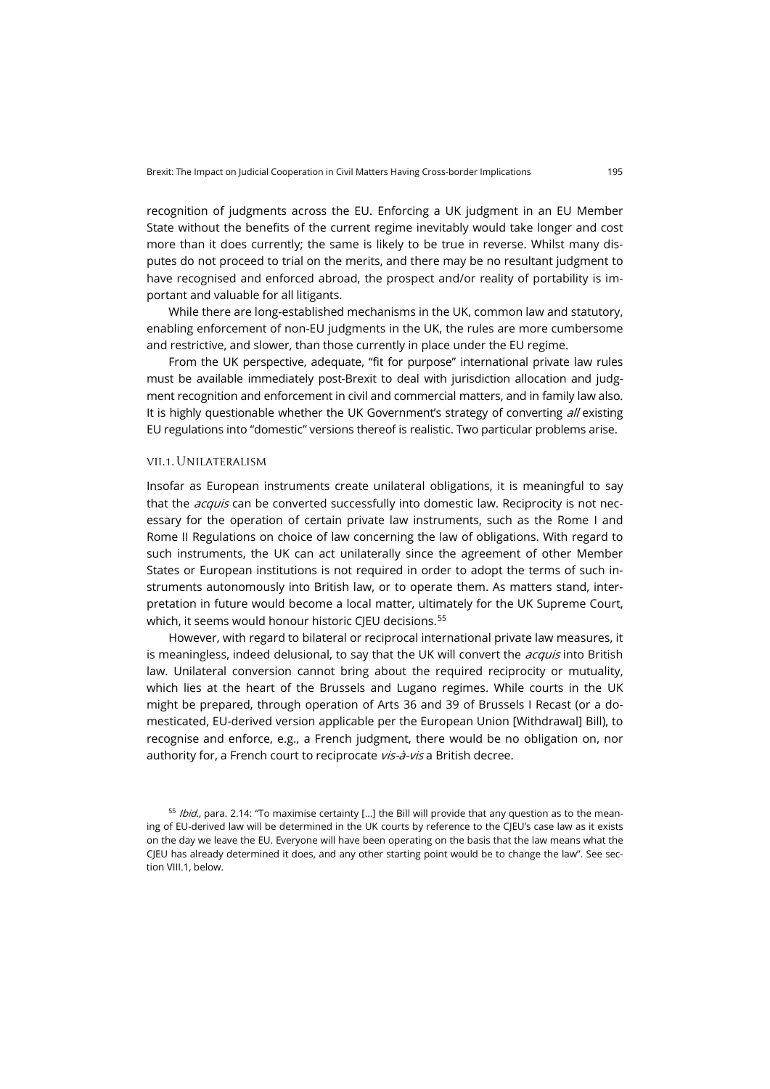recognition of judgments across the EU. Enforcing a UK judgment in an EU Member State without the benefits of the current regime inevitably would take longer and cost more than it does currently; the same is likely to be true in reverse. Whilst many disputes do not proceed to trial on the merits, and there may be no resultant judgment to have recognised and enforced abroad, the prospect and/or reality of portability is important and valuable for all litigants.

While there are long-established mechanisms in the UK, common law and statutory, enabling enforcement of non-EU judgments in the UK, the rules are more cumbersome and restrictive, and slower, than those currently in place under the EU regime.

From the UK perspective, adequate, "fit for purpose" international private law rules must be available immediately post-Brexit to deal with jurisdiction allocation and judgment recognition and enforcement in civil and commercial matters, and in family law also. It is highly questionable whether the UK Government's strategy of converting  $all$  existing EU regulations into "domestic" versions thereof is realistic. Two particular problems arise.

#### vii.1.Unilateralism

Insofar as European instruments create unilateral obligations, it is meaningful to say that the *acquis* can be converted successfully into domestic law. Reciprocity is not necessary for the operation of certain private law instruments, such as the Rome I and Rome II Regulations on choice of law concerning the law of obligations. With regard to such instruments, the UK can act unilaterally since the agreement of other Member States or European institutions is not required in order to adopt the terms of such instruments autonomously into British law, or to operate them. As matters stand, interpretation in future would become a local matter, ultimately for the UK Supreme Court, which, it seems would honour historic CJEU decisions.<sup>[55](#page-12-0)</sup>

However, with regard to bilateral or reciprocal international private law measures, it is meaningless, indeed delusional, to say that the UK will convert the *acquis* into British law. Unilateral conversion cannot bring about the required reciprocity or mutuality, which lies at the heart of the Brussels and Lugano regimes. While courts in the UK might be prepared, through operation of Arts 36 and 39 of Brussels I Recast (or a domesticated, EU-derived version applicable per the European Union [Withdrawal] Bill), to recognise and enforce, e.g., a French judgment, there would be no obligation on, nor authority for, a French court to reciprocate vis-à-vis a British decree.

<span id="page-12-0"></span> $55$  *Ibid.*, para. 2.14: "To maximise certainty [...] the Bill will provide that any question as to the meaning of EU-derived law will be determined in the UK courts by reference to the CJEU's case law as it exists on the day we leave the EU. Everyone will have been operating on the basis that the law means what the CJEU has already determined it does, and any other starting point would be to change the law". See section VIII.1, below.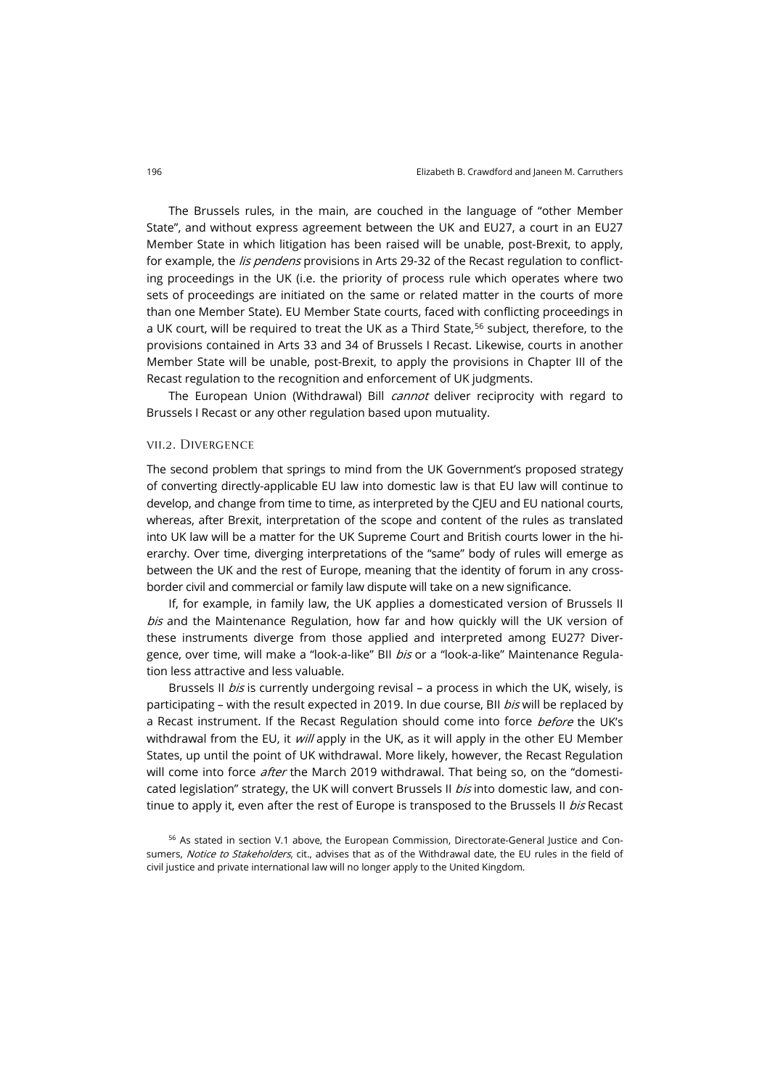The Brussels rules, in the main, are couched in the language of "other Member State", and without express agreement between the UK and EU27, a court in an EU27 Member State in which litigation has been raised will be unable, post-Brexit, to apply, for example, the *lis pendens* provisions in Arts 29-32 of the Recast regulation to conflicting proceedings in the UK (i.e. the priority of process rule which operates where two sets of proceedings are initiated on the same or related matter in the courts of more than one Member State). EU Member State courts, faced with conflicting proceedings in a UK court, will be required to treat the UK as a Third State,<sup>[56](#page-13-0)</sup> subject, therefore, to the provisions contained in Arts 33 and 34 of Brussels I Recast. Likewise, courts in another Member State will be unable, post-Brexit, to apply the provisions in Chapter III of the Recast regulation to the recognition and enforcement of UK judgments.

The European Union (Withdrawal) Bill *cannot* deliver reciprocity with regard to Brussels I Recast or any other regulation based upon mutuality.

#### vii.2. Divergence

The second problem that springs to mind from the UK Government's proposed strategy of converting directly-applicable EU law into domestic law is that EU law will continue to develop, and change from time to time, as interpreted by the CJEU and EU national courts, whereas, after Brexit, interpretation of the scope and content of the rules as translated into UK law will be a matter for the UK Supreme Court and British courts lower in the hierarchy. Over time, diverging interpretations of the "same" body of rules will emerge as between the UK and the rest of Europe, meaning that the identity of forum in any crossborder civil and commercial or family law dispute will take on a new significance.

If, for example, in family law, the UK applies a domesticated version of Brussels II  $b$ is and the Maintenance Regulation, how far and how quickly will the UK version of these instruments diverge from those applied and interpreted among EU27? Divergence, over time, will make a "look-a-like" BII bis or a "look-a-like" Maintenance Regulation less attractive and less valuable.

Brussels II *bis* is currently undergoing revisal – a process in which the UK, wisely, is participating - with the result expected in 2019. In due course, BII bis will be replaced by a Recast instrument. If the Recast Regulation should come into force before the UK's withdrawal from the EU, it  $will$  apply in the UK, as it will apply in the other EU Member States, up until the point of UK withdrawal. More likely, however, the Recast Regulation will come into force *after* the March 2019 withdrawal. That being so, on the "domesticated legislation" strategy, the UK will convert Brussels II bis into domestic law, and continue to apply it, even after the rest of Europe is transposed to the Brussels II bis Recast

<span id="page-13-0"></span><sup>56</sup> As stated in section V.1 above, the European Commission, Directorate-General Justice and Consumers, Notice to Stakeholders, cit., advises that as of the Withdrawal date, the EU rules in the field of civil justice and private international law will no longer apply to the United Kingdom.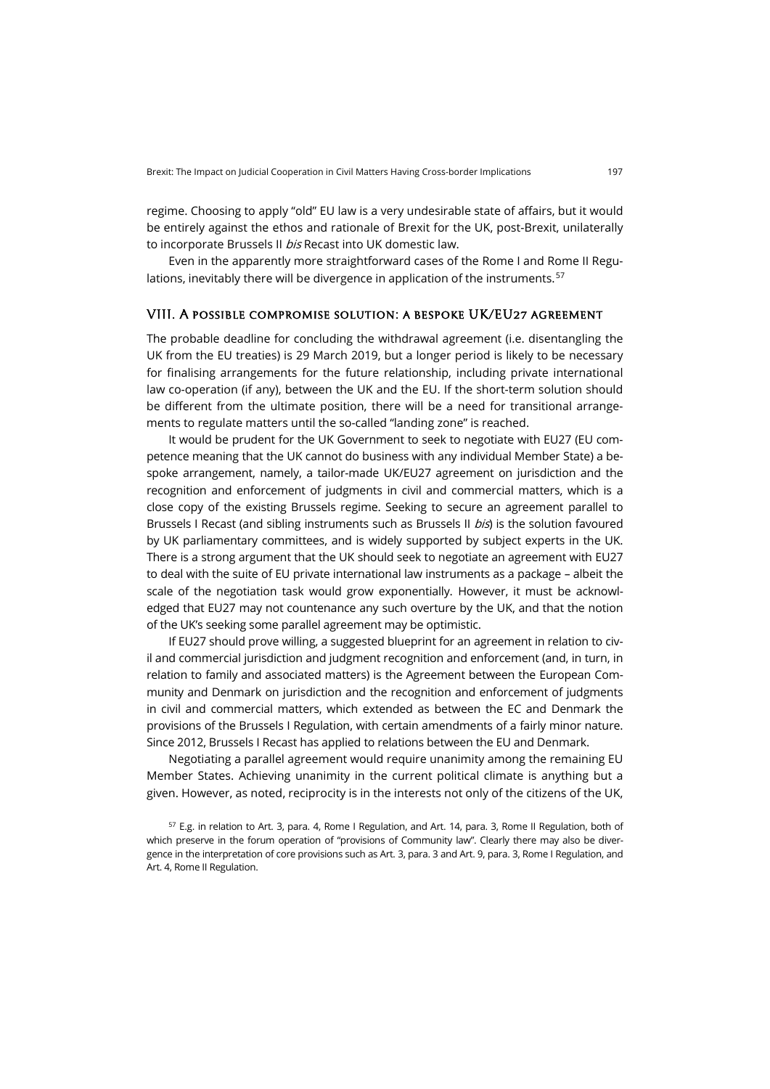regime. Choosing to apply "old" EU law is a very undesirable state of affairs, but it would be entirely against the ethos and rationale of Brexit for the UK, post-Brexit, unilaterally to incorporate Brussels II bis Recast into UK domestic law.

Even in the apparently more straightforward cases of the Rome I and Rome II Regu-lations, inevitably there will be divergence in application of the instruments.<sup>[57](#page-14-0)</sup>

#### VIII. A possible compromise solution: a bespoke UK/EU27 agreement

The probable deadline for concluding the withdrawal agreement (i.e. disentangling the UK from the EU treaties) is 29 March 2019, but a longer period is likely to be necessary for finalising arrangements for the future relationship, including private international law co-operation (if any), between the UK and the EU. If the short-term solution should be different from the ultimate position, there will be a need for transitional arrangements to regulate matters until the so-called "landing zone" is reached.

It would be prudent for the UK Government to seek to negotiate with EU27 (EU competence meaning that the UK cannot do business with any individual Member State) a bespoke arrangement, namely, a tailor-made UK/EU27 agreement on jurisdiction and the recognition and enforcement of judgments in civil and commercial matters, which is a close copy of the existing Brussels regime. Seeking to secure an agreement parallel to Brussels I Recast (and sibling instruments such as Brussels II *bis*) is the solution favoured by UK parliamentary committees, and is widely supported by subject experts in the UK. There is a strong argument that the UK should seek to negotiate an agreement with EU27 to deal with the suite of EU private international law instruments as a package – albeit the scale of the negotiation task would grow exponentially. However, it must be acknowledged that EU27 may not countenance any such overture by the UK, and that the notion of the UK's seeking some parallel agreement may be optimistic.

If EU27 should prove willing, a suggested blueprint for an agreement in relation to civil and commercial jurisdiction and judgment recognition and enforcement (and, in turn, in relation to family and associated matters) is the Agreement between the European Community and Denmark on jurisdiction and the recognition and enforcement of judgments in civil and commercial matters, which extended as between the EC and Denmark the provisions of the Brussels I Regulation, with certain amendments of a fairly minor nature. Since 2012, Brussels I Recast has applied to relations between the EU and Denmark.

Negotiating a parallel agreement would require unanimity among the remaining EU Member States. Achieving unanimity in the current political climate is anything but a given. However, as noted, reciprocity is in the interests not only of the citizens of the UK,

<span id="page-14-0"></span><sup>57</sup> E.g. in relation to Art. 3, para. 4, Rome I Regulation, and Art. 14, para. 3, Rome II Regulation, both of which preserve in the forum operation of "provisions of Community law". Clearly there may also be divergence in the interpretation of core provisions such as Art. 3, para. 3 and Art. 9, para. 3, Rome I Regulation, and Art. 4, Rome II Regulation.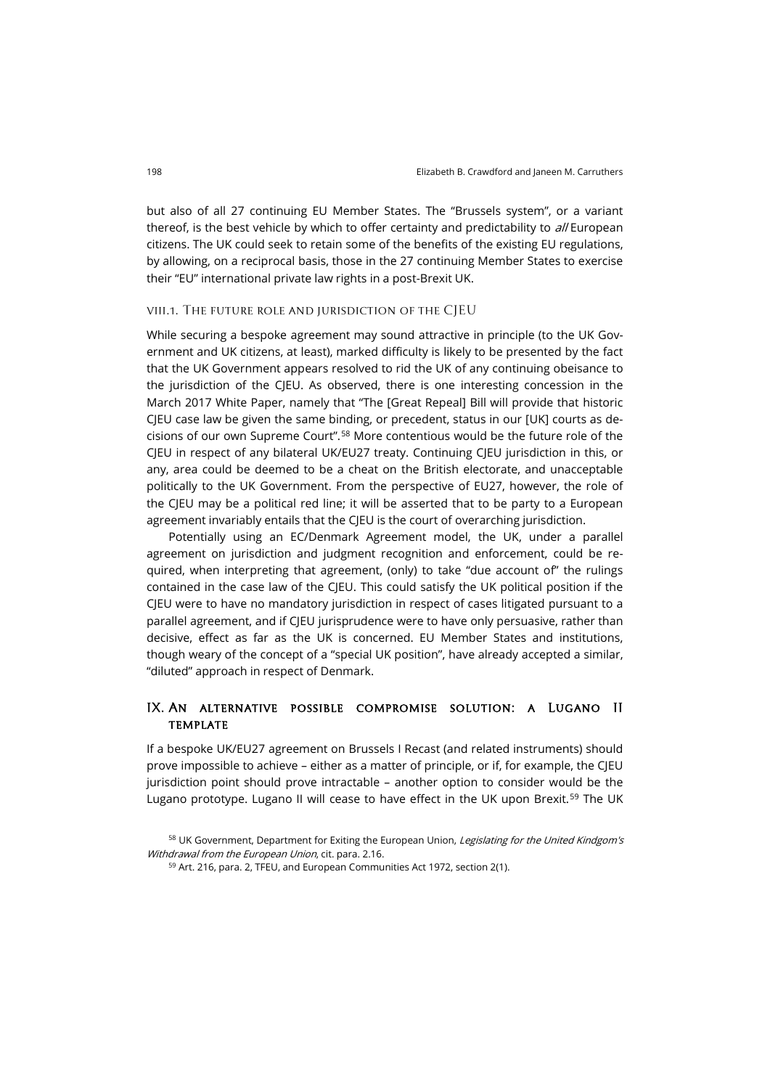but also of all 27 continuing EU Member States. The "Brussels system", or a variant thereof, is the best vehicle by which to offer certainty and predictability to  $d$ //European citizens. The UK could seek to retain some of the benefits of the existing EU regulations, by allowing, on a reciprocal basis, those in the 27 continuing Member States to exercise their "EU" international private law rights in a post-Brexit UK.

### viii.1. The future role and jurisdiction of the CJEU

While securing a bespoke agreement may sound attractive in principle (to the UK Government and UK citizens, at least), marked difficulty is likely to be presented by the fact that the UK Government appears resolved to rid the UK of any continuing obeisance to the jurisdiction of the CJEU. As observed, there is one interesting concession in the March 2017 White Paper, namely that "The [Great Repeal] Bill will provide that historic CJEU case law be given the same binding, or precedent, status in our [UK] courts as decisions of our own Supreme Court".[58](#page-15-0) More contentious would be the future role of the CJEU in respect of any bilateral UK/EU27 treaty. Continuing CJEU jurisdiction in this, or any, area could be deemed to be a cheat on the British electorate, and unacceptable politically to the UK Government. From the perspective of EU27, however, the role of the CJEU may be a political red line; it will be asserted that to be party to a European agreement invariably entails that the CJEU is the court of overarching jurisdiction.

Potentially using an EC/Denmark Agreement model, the UK, under a parallel agreement on jurisdiction and judgment recognition and enforcement, could be required, when interpreting that agreement, (only) to take "due account of" the rulings contained in the case law of the CJEU. This could satisfy the UK political position if the CJEU were to have no mandatory jurisdiction in respect of cases litigated pursuant to a parallel agreement, and if CJEU jurisprudence were to have only persuasive, rather than decisive, effect as far as the UK is concerned. EU Member States and institutions, though weary of the concept of a "special UK position", have already accepted a similar, "diluted" approach in respect of Denmark.

# IX. An alternative possible compromise solution: a Lugano II **TEMPLATE**

If a bespoke UK/EU27 agreement on Brussels I Recast (and related instruments) should prove impossible to achieve – either as a matter of principle, or if, for example, the CJEU jurisdiction point should prove intractable – another option to consider would be the Lugano prototype. Lugano II will cease to have effect in the UK upon Brexit.<sup>[59](#page-15-1)</sup> The UK

<span id="page-15-1"></span><span id="page-15-0"></span><sup>58</sup> UK Government, Department for Exiting the European Union, Legislating for the United Kindgom's Withdrawal from the European Union, cit. para. 2.16.

<sup>59</sup> Art. 216, para. 2, TFEU, and European Communities Act 1972, section 2(1).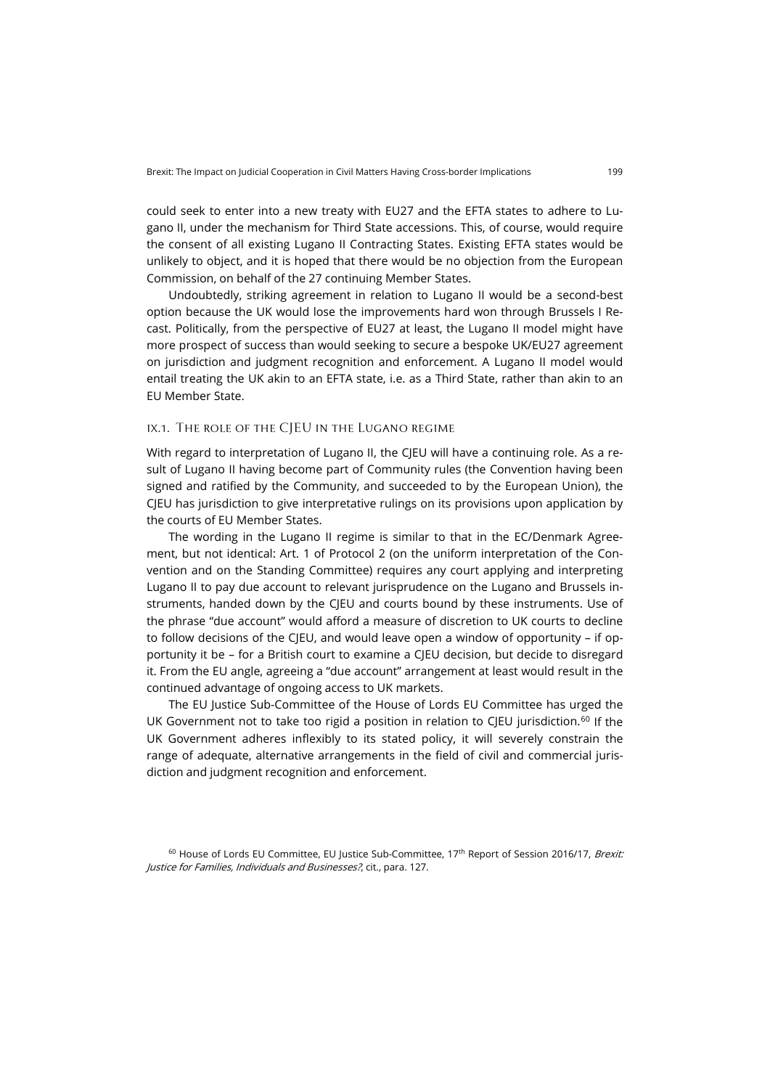could seek to enter into a new treaty with EU27 and the EFTA states to adhere to Lugano II, under the mechanism for Third State accessions. This, of course, would require the consent of all existing Lugano II Contracting States. Existing EFTA states would be unlikely to object, and it is hoped that there would be no objection from the European Commission, on behalf of the 27 continuing Member States.

Undoubtedly, striking agreement in relation to Lugano II would be a second-best option because the UK would lose the improvements hard won through Brussels I Recast. Politically, from the perspective of EU27 at least, the Lugano II model might have more prospect of success than would seeking to secure a bespoke UK/EU27 agreement on jurisdiction and judgment recognition and enforcement. A Lugano II model would entail treating the UK akin to an EFTA state, i.e. as a Third State, rather than akin to an EU Member State.

### ix.1. The role of the CJEU in the Lugano regime

With regard to interpretation of Lugano II, the CJEU will have a continuing role. As a result of Lugano II having become part of Community rules (the Convention having been signed and ratified by the Community, and succeeded to by the European Union), the CJEU has jurisdiction to give interpretative rulings on its provisions upon application by the courts of EU Member States.

The wording in the Lugano II regime is similar to that in the EC/Denmark Agreement, but not identical: Art. 1 of Protocol 2 (on the uniform interpretation of the Convention and on the Standing Committee) requires any court applying and interpreting Lugano II to pay due account to relevant jurisprudence on the Lugano and Brussels instruments, handed down by the CJEU and courts bound by these instruments. Use of the phrase "due account" would afford a measure of discretion to UK courts to decline to follow decisions of the CJEU, and would leave open a window of opportunity – if opportunity it be – for a British court to examine a CJEU decision, but decide to disregard it. From the EU angle, agreeing a "due account" arrangement at least would result in the continued advantage of ongoing access to UK markets.

The EU Justice Sub-Committee of the House of Lords EU Committee has urged the UK Government not to take too rigid a position in relation to CJEU jurisdiction.<sup>[60](#page-16-0)</sup> If the UK Government adheres inflexibly to its stated policy, it will severely constrain the range of adequate, alternative arrangements in the field of civil and commercial jurisdiction and judgment recognition and enforcement.

<span id="page-16-0"></span><sup>&</sup>lt;sup>60</sup> House of Lords EU Committee, EU Justice Sub-Committee, 17<sup>th</sup> Report of Session 2016/17, Brexit: Justice for Families, Individuals and Businesses?, cit., para. 127.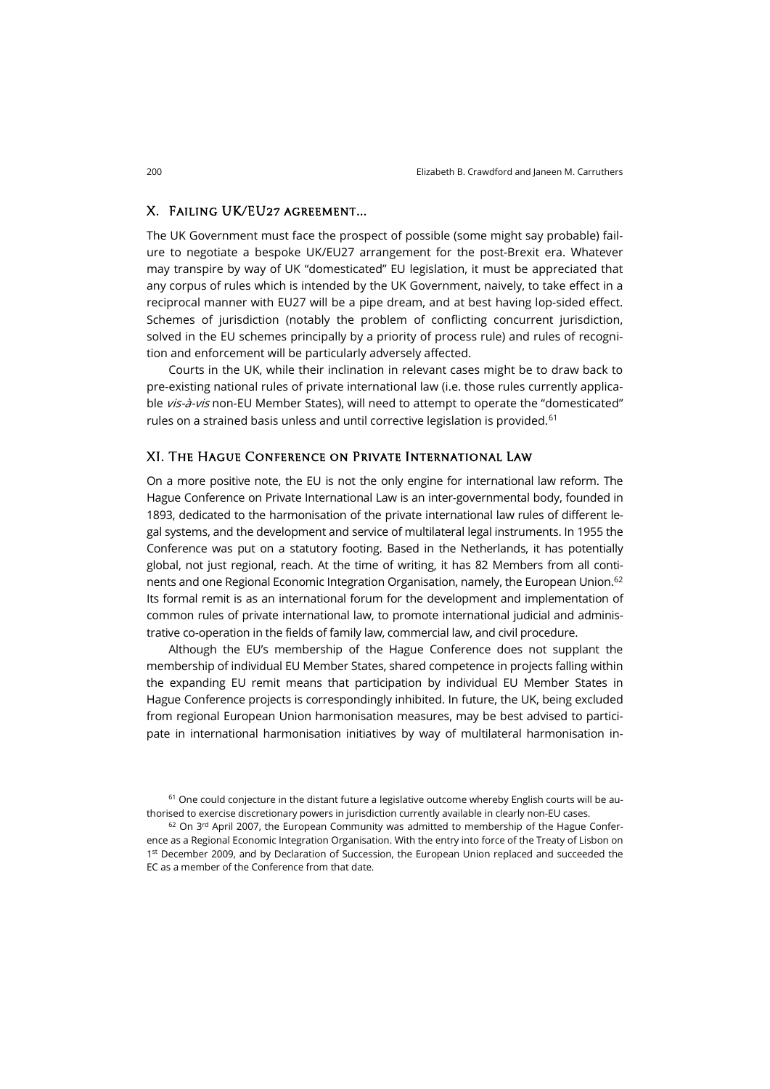## X. Failing UK/EU27 agreement…

The UK Government must face the prospect of possible (some might say probable) failure to negotiate a bespoke UK/EU27 arrangement for the post-Brexit era. Whatever may transpire by way of UK "domesticated" EU legislation, it must be appreciated that any corpus of rules which is intended by the UK Government, naively, to take effect in a reciprocal manner with EU27 will be a pipe dream, and at best having lop-sided effect. Schemes of jurisdiction (notably the problem of conflicting concurrent jurisdiction, solved in the EU schemes principally by a priority of process rule) and rules of recognition and enforcement will be particularly adversely affected.

Courts in the UK, while their inclination in relevant cases might be to draw back to pre-existing national rules of private international law (i.e. those rules currently applicable vis-à-vis non-EU Member States), will need to attempt to operate the "domesticated" rules on a strained basis unless and until corrective legislation is provided.<sup>[61](#page-17-0)</sup>

#### XI. The Hague Conference on Private International Law

On a more positive note, the EU is not the only engine for international law reform. The Hague Conference on Private International Law is an inter-governmental body, founded in 1893, dedicated to the harmonisation of the private international law rules of different legal systems, and the development and service of multilateral legal instruments. In 1955 the Conference was put on a statutory footing. Based in the Netherlands, it has potentially global, not just regional, reach. At the time of writing, it has 82 Members from all continents and one Regional Economic Integration Organisation, namely, the European Union.<sup>62</sup> Its formal remit is as an international forum for the development and implementation of common rules of private international law, to promote international judicial and administrative co-operation in the fields of family law, commercial law, and civil procedure.

Although the EU's membership of the Hague Conference does not supplant the membership of individual EU Member States, shared competence in projects falling within the expanding EU remit means that participation by individual EU Member States in Hague Conference projects is correspondingly inhibited. In future, the UK, being excluded from regional European Union harmonisation measures, may be best advised to participate in international harmonisation initiatives by way of multilateral harmonisation in-

<span id="page-17-0"></span> $61$  One could conjecture in the distant future a legislative outcome whereby English courts will be authorised to exercise discretionary powers in jurisdiction currently available in clearly non-EU cases.

<span id="page-17-1"></span> $62$  On 3<sup>rd</sup> April 2007, the European Community was admitted to membership of the Hague Conference as a Regional Economic Integration Organisation. With the entry into force of the Treaty of Lisbon on 1<sup>st</sup> December 2009, and by Declaration of Succession, the European Union replaced and succeeded the EC as a member of the Conference from that date.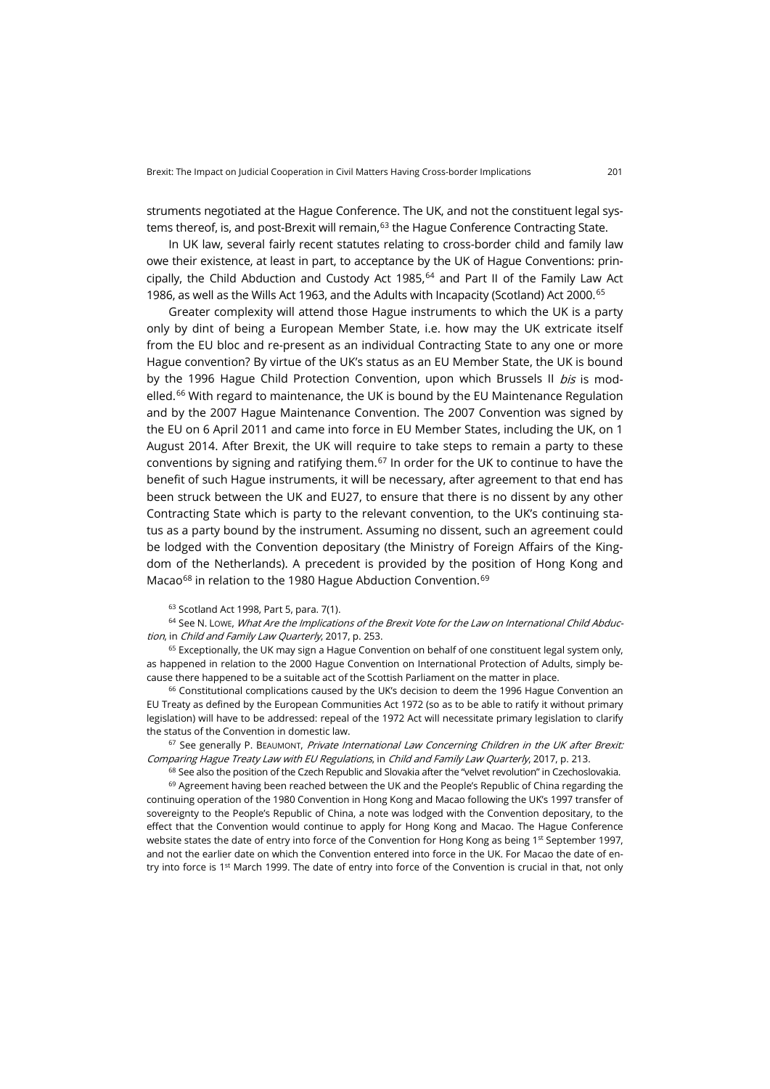struments negotiated at the Hague Conference. The UK, and not the constituent legal sys-tems thereof, is, and post-Brexit will remain.<sup>[63](#page-18-0)</sup> the Hague Conference Contracting State.

In UK law, several fairly recent statutes relating to cross-border child and family law owe their existence, at least in part, to acceptance by the UK of Hague Conventions: principally, the Child Abduction and Custody Act 1985, $64$  and Part II of the Family Law Act 1986, as well as the Wills Act 1963, and the Adults with Incapacity (Scotland) Act 2000.[65](#page-18-2)

Greater complexity will attend those Hague instruments to which the UK is a party only by dint of being a European Member State, i.e. how may the UK extricate itself from the EU bloc and re-present as an individual Contracting State to any one or more Hague convention? By virtue of the UK's status as an EU Member State, the UK is bound by the 1996 Hague Child Protection Convention, upon which Brussels II bis is mod-elled.<sup>[66](#page-18-3)</sup> With regard to maintenance, the UK is bound by the EU Maintenance Regulation and by the 2007 Hague Maintenance Convention. The 2007 Convention was signed by the EU on 6 April 2011 and came into force in EU Member States, including the UK, on 1 August 2014. After Brexit, the UK will require to take steps to remain a party to these conventions by signing and ratifying them. $67$  In order for the UK to continue to have the benefit of such Hague instruments, it will be necessary, after agreement to that end has been struck between the UK and EU27, to ensure that there is no dissent by any other Contracting State which is party to the relevant convention, to the UK's continuing status as a party bound by the instrument. Assuming no dissent, such an agreement could be lodged with the Convention depositary (the Ministry of Foreign Affairs of the Kingdom of the Netherlands). A precedent is provided by the position of Hong Kong and Macao<sup>[68](#page-18-5)</sup> in relation to the 1980 Hague Abduction Convention.<sup>[69](#page-18-6)</sup>

#### <sup>63</sup> Scotland Act 1998, Part 5, para. 7(1).

<span id="page-18-1"></span><span id="page-18-0"></span> $64$  See N. Lowe, What Are the Implications of the Brexit Vote for the Law on International Child Abduction, in Child and Family Law Quarterly, 2017, p. 253.

<span id="page-18-2"></span> $65$  Exceptionally, the UK may sign a Hague Convention on behalf of one constituent legal system only, as happened in relation to the 2000 Hague Convention on International Protection of Adults, simply because there happened to be a suitable act of the Scottish Parliament on the matter in place.

<span id="page-18-3"></span> $66$  Constitutional complications caused by the UK's decision to deem the 1996 Hague Convention an EU Treaty as defined by the European Communities Act 1972 (so as to be able to ratify it without primary legislation) will have to be addressed: repeal of the 1972 Act will necessitate primary legislation to clarify the status of the Convention in domestic law.

<span id="page-18-4"></span> $67$  See generally P. BEAUMONT, Private International Law Concerning Children in the UK after Brexit: Comparing Hague Treaty Law with EU Regulations, in Child and Family Law Quarterly, 2017, p. 213.

<sup>68</sup> See also the position of the Czech Republic and Slovakia after the "velvet revolution" in Czechoslovakia.

<span id="page-18-6"></span><span id="page-18-5"></span> $69$  Agreement having been reached between the UK and the People's Republic of China regarding the continuing operation of the 1980 Convention in Hong Kong and Macao following the UK's 1997 transfer of sovereignty to the People's Republic of China, a note was lodged with the Convention depositary, to the effect that the Convention would continue to apply for Hong Kong and Macao. The Hague Conference website states the date of entry into force of the Convention for Hong Kong as being 1st September 1997, and not the earlier date on which the Convention entered into force in the UK. For Macao the date of entry into force is 1<sup>st</sup> March 1999. The date of entry into force of the Convention is crucial in that, not only